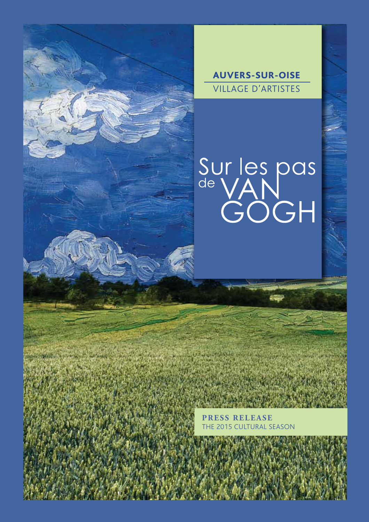



Sur les pas<br>de VAN<br>GOGH

**PRESS RELEASE** 5 CULTURAL SEASON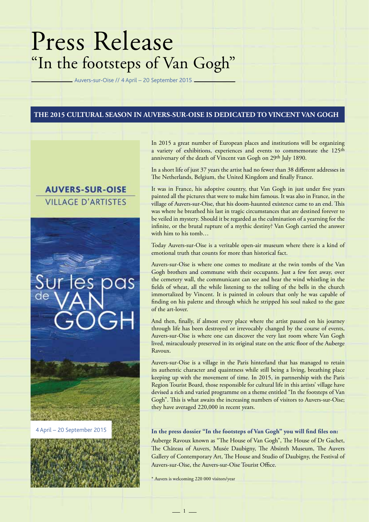# Press Release "In the footsteps of Van Gogh"

Auvers-sur-Oise // 4 April – 20 September 2015

#### **THE 2015 CULTURAL SEASON IN AUVERS-SUR-OISE IS DEDICATED TO VINCENT VAN GOGH**

## **AUVERS-SUR-OISE VILLAGE D'ARTISTES**

# cas

In 2015 a great number of European places and institutions will be organizing a variety of exhibitions, experiences and events to commemorate the 125<sup>th</sup> anniversary of the death of Vincent van Gogh on 29th July 1890.

In a short life of just 37 years the artist had no fewer than 38 different addresses in The Netherlands, Belgium, the United Kingdom and finally France.

It was in France, his adoptive country, that Van Gogh in just under five years painted all the pictures that were to make him famous. It was also in France, in the village of Auvers-sur-Oise, that his doom-haunted existence came to an end. This was where he breathed his last in tragic circumstances that are destined forever to be veiled in mystery. Should it be regarded as the culmination of a yearning for the infinite, or the brutal rupture of a mythic destiny? Van Gogh carried the answer with him to his tomb…

Today Auvers-sur-Oise is a veritable open-air museum where there is a kind of emotional truth that counts for more than historical fact.

Auvers-sur-Oise is where one comes to meditate at the twin tombs of the Van Gogh brothers and commune with their occupants. Just a few feet away, over the cemetery wall, the communicant can see and hear the wind whistling in the fields of wheat, all the while listening to the tolling of the bells in the church immortalized by Vincent. It is painted in colours that only he was capable of finding on his palette and through which he stripped his soul naked to the gaze of the art-lover.

And then, finally, if almost every place where the artist paused on his journey through life has been destroyed or irrevocably changed by the course of events, Auvers-sur-Oise is where one can discover the very last room where Van Gogh lived, miraculously preserved in its original state on the attic floor of the Auberge Ravoux.

Auvers-sur-Oise is a village in the Paris hinterland that has managed to retain its authentic character and quaintness while still being a living, breathing place keeping up with the movement of time. In 2015, in partnership with the Paris Region Tourist Board, those responsible for cultural life in this artists' village have devised a rich and varied programme on a theme entitled "In the footsteps of Van Gogh". This is what awaits the increasing numbers of visitors to Auvers-sur-Oise; they have averaged 220,000 in recent years.

#### 4 April – 20 September 2015 **In the press dossier "In the footsteps of Van Gogh" you will find files on:**

Auberge Ravoux known as "The House of Van Gogh", The House of Dr Gachet, The Château of Auvers, Musée Daubigny, The Absinth Museum, The Auvers Gallery of Contemporary Art, The House and Studio of Daubigny, the Festival of Auvers-sur-Oise, the Auvers-sur-Oise Tourist Office.

\* Auvers is welcoming 220 000 visitors/year

 $-1$   $-$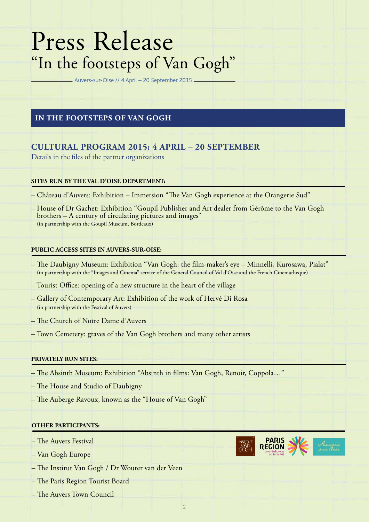# Press Release "In the footsteps of Van Gogh"

Auvers-sur-Oise // 4 April – 20 September 2015

### **IN THE FOOTSTEPS OF VAN GOGH**

## **CULTURAL PROGRAM 2015: 4 APRIL – 20 SEPTEMBER**

Details in the files of the partner organizations

#### **SITES RUN BY THE VAL D'OISE DEPARTMENT:**

- Château d'Auvers: Exhibition Immersion "The Van Gogh experience at the Orangerie Sud"
- House of Dr Gachet: Exhibition "Goupil Publisher and Art dealer from Gérôme to the Van Gogh brothers – A century of circulating pictures and images" (in partnership with the Goupil Museum, Bordeaux)

#### **PUBLIC ACCESS SITES IN AUVERS-SUR-OISE:**

– The Daubigny Museum: Exhibition "Van Gogh: the film-maker's eye – Minnelli, Kurosawa, Pialat" (in partnership with the "Images and Cinema" service of the General Council of Val d'Oise and the French Cinematheque)

 $-2-$ 

- Tourist Office: opening of a new structure in the heart of the village
- Gallery of Contemporary Art: Exhibition of the work of Hervé Di Rosa (in partnership with the Festival of Auvers)
- The Church of Notre Dame d'Auvers
- Town Cemetery: graves of the Van Gogh brothers and many other artists

#### **PRIVATELY RUN SITES:**

- The Absinth Museum: Exhibition "Absinth in films: Van Gogh, Renoir, Coppola…"
- The House and Studio of Daubigny
- The Auberge Ravoux, known as the "House of Van Gogh"

#### **OTHER PARTICIPANTS:**

- The Auvers Festival
- Van Gogh Europe
- The Institut Van Gogh / Dr Wouter van der Veen
- The Paris Region Tourist Board
- The Auvers Town Council